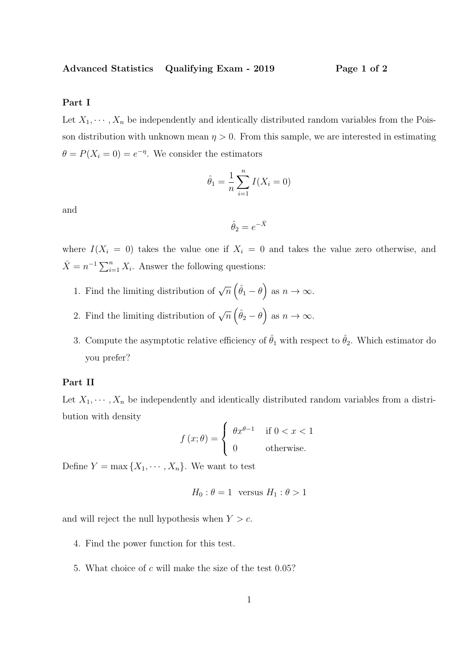Advanced Statistics Qualifying Exam - 2019 Page 1 of 2

# Part I

Let  $X_1, \dots, X_n$  be independently and identically distributed random variables from the Poisson distribution with unknown mean  $\eta > 0$ . From this sample, we are interested in estimating  $\theta = P(X_i = 0) = e^{-\eta}$ . We consider the estimators

$$
\hat{\theta}_1 = \frac{1}{n} \sum_{i=1}^n I(X_i = 0)
$$

and

$$
\hat{\theta}_2 = e^{-\bar{X}}
$$

where  $I(X_i = 0)$  takes the value one if  $X_i = 0$  and takes the value zero otherwise, and  $\bar{X} = n^{-1} \sum_{i=1}^{n} X_i$ . Answer the following questions:

- 1. Find the limiting distribution of  $\sqrt{n}(\hat{\theta}_1 \theta)$  as  $n \to \infty$ .
- 2. Find the limiting distribution of  $\sqrt{n}(\hat{\theta}_2 \theta)$  as  $n \to \infty$ .
- 3. Compute the asymptotic relative efficiency of  $\hat{\theta}_1$  with respect to  $\hat{\theta}_2$ . Which estimator do you prefer?

# Part II

Let  $X_1, \dots, X_n$  be independently and identically distributed random variables from a distribution with density

$$
f(x; \theta) = \begin{cases} \theta x^{\theta - 1} & \text{if } 0 < x < 1 \\ 0 & \text{otherwise.} \end{cases}
$$

Define  $Y = \max\{X_1, \cdots, X_n\}$ . We want to test

$$
H_0: \theta = 1 \quad \text{versus } H_1: \theta > 1
$$

and will reject the null hypothesis when  $Y > c$ .

- 4. Find the power function for this test.
- 5. What choice of c will make the size of the test 0.05?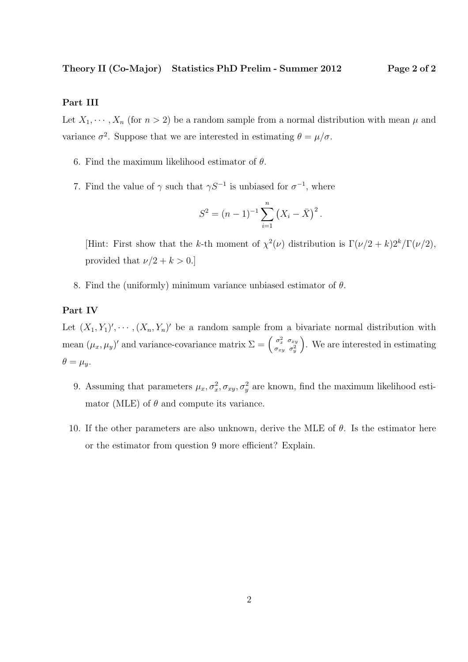Theory II (Co-Major) Statistics PhD Prelim - Summer 2012 Page 2 of 2

## Part III

Let  $X_1, \dots, X_n$  (for  $n > 2$ ) be a random sample from a normal distribution with mean  $\mu$  and variance  $\sigma^2$ . Suppose that we are interested in estimating  $\theta = \mu/\sigma$ .

- 6. Find the maximum likelihood estimator of  $\theta$ .
- 7. Find the value of  $\gamma$  such that  $\gamma S^{-1}$  is unbiased for  $\sigma^{-1}$ , where

$$
S^{2} = (n-1)^{-1} \sum_{i=1}^{n} (X_{i} - \bar{X})^{2}.
$$

[Hint: First show that the k-th moment of  $\chi^2(\nu)$  distribution is  $\Gamma(\nu/2 + k)2^k/\Gamma(\nu/2)$ , provided that  $\nu/2 + k > 0$ .]

8. Find the (uniformly) minimum variance unbiased estimator of  $\theta$ .

# Part IV

Let  $(X_1, Y_1)'$ ,  $\dots$ ,  $(X_n, Y_n)'$  be a random sample from a bivariate normal distribution with mean  $(\mu_x, \mu_y)'$  and variance-covariance matrix  $\Sigma = \begin{pmatrix} \sigma_x^2 & \sigma_{xy} \\ \sigma_{xy} & \sigma^2 \end{pmatrix}$  $\sigma_{xy}$   $\sigma_y^2$  . We are interested in estimating  $\theta = \mu_y.$ 

- 9. Assuming that parameters  $\mu_x, \sigma_x^2, \sigma_{xy}, \sigma_y^2$  are known, find the maximum likelihood estimator (MLE) of  $\theta$  and compute its variance.
- 10. If the other parameters are also unknown, derive the MLE of  $\theta$ . Is the estimator here or the estimator from question 9 more efficient? Explain.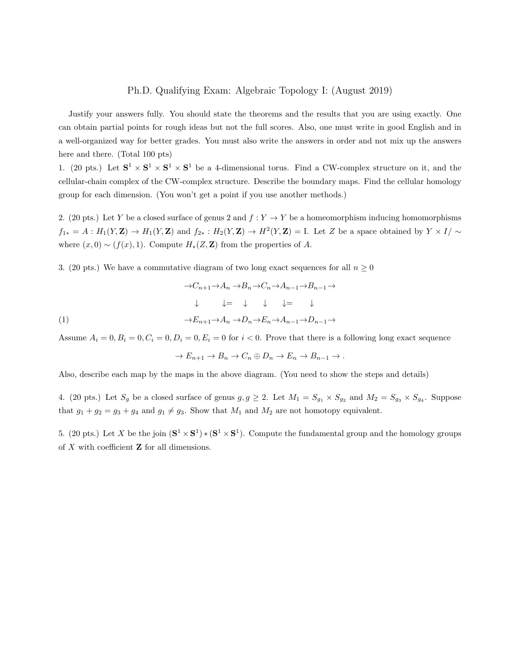#### Ph.D. Qualifying Exam: Algebraic Topology I: (August 2019)

Justify your answers fully. You should state the theorems and the results that you are using exactly. One can obtain partial points for rough ideas but not the full scores. Also, one must write in good English and in a well-organized way for better grades. You must also write the answers in order and not mix up the answers here and there. (Total 100 pts)

1. (20 pts.) Let  $S^1 \times S^1 \times S^1 \times S^1$  be a 4-dimensional torus. Find a CW-complex structure on it, and the cellular-chain complex of the CW-complex structure. Describe the boundary maps. Find the cellular homology group for each dimension. (You won't get a point if you use another methods.)

2. (20 pts.) Let Y be a closed surface of genus 2 and  $f: Y \to Y$  be a homeomorphism inducing homomorphisms  $f_{1*} = A : H_1(Y, \mathbf{Z}) \to H_1(Y, \mathbf{Z})$  and  $f_{2*} : H_2(Y, \mathbf{Z}) \to H^2(Y, \mathbf{Z}) = I$ . Let Z be a space obtained by  $Y \times I/\sim$ where  $(x, 0) \sim (f(x), 1)$ . Compute  $H_*(Z, \mathbf{Z})$  from the properties of A.

3. (20 pts.) We have a commutative diagram of two long exact sequences for all  $n \geq 0$ 

$$
\rightarrow C_{n+1} \rightarrow A_n \rightarrow B_n \rightarrow C_n \rightarrow A_{n-1} \rightarrow B_{n-1} \rightarrow
$$
  
\n
$$
\downarrow \qquad \downarrow = \qquad \downarrow \qquad \downarrow = \qquad \downarrow
$$
  
\n
$$
\rightarrow E_{n+1} \rightarrow A_n \rightarrow D_n \rightarrow E_n \rightarrow A_{n-1} \rightarrow D_{n-1} \rightarrow
$$
  
\n(1)

Assume  $A_i = 0, B_i = 0, C_i = 0, D_i = 0, E_i = 0$  for  $i < 0$ . Prove that there is a following long exact sequence

$$
\to E_{n+1} \to B_n \to C_n \oplus D_n \to E_n \to B_{n-1} \to.
$$

Also, describe each map by the maps in the above diagram. (You need to show the steps and details)

4. (20 pts.) Let  $S_g$  be a closed surface of genus  $g, g \geq 2$ . Let  $M_1 = S_{g_1} \times S_{g_2}$  and  $M_2 = S_{g_3} \times S_{g_4}$ . Suppose that  $g_1 + g_2 = g_3 + g_4$  and  $g_1 \neq g_3$ . Show that  $M_1$  and  $M_2$  are not homotopy equivalent.

5. (20 pts.) Let X be the join  $({\bf S}^1 \times {\bf S}^1) * ({\bf S}^1 \times {\bf S}^1)$ . Compute the fundamental group and the homology groups of  $X$  with coefficient  $Z$  for all dimensions.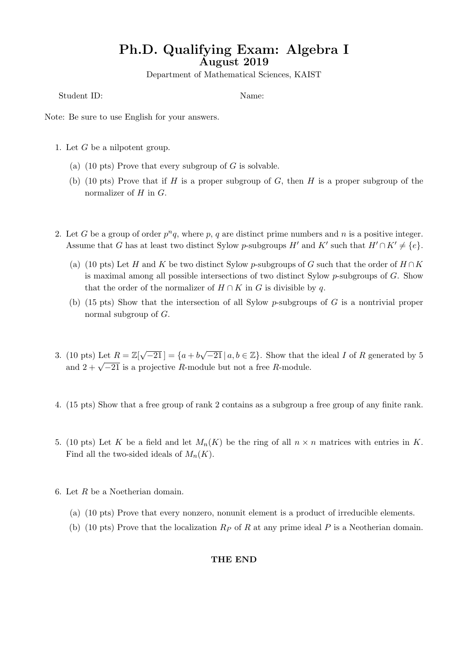# Ph.D. Qualifying Exam: Algebra I August 2019

Department of Mathematical Sciences, KAIST

Student ID: Name:

Note: Be sure to use English for your answers.

- 1. Let G be a nilpotent group.
	- (a) (10 pts) Prove that every subgroup of  $G$  is solvable.
	- (b) (10 pts) Prove that if H is a proper subgroup of G, then H is a proper subgroup of the normalizer of  $H$  in  $G$ .
- 2. Let G be a group of order  $p^n q$ , where p, q are distinct prime numbers and n is a positive integer. Assume that G has at least two distinct Sylow p-subgroups H' and K' such that  $H' \cap K' \neq \{e\}.$ 
	- (a) (10 pts) Let H and K be two distinct Sylow p-subgroups of G such that the order of  $H \cap K$ is maximal among all possible intersections of two distinct Sylow  $p$ -subgroups of  $G$ . Show that the order of the normalizer of  $H \cap K$  in G is divisible by q.
	- (b) (15 pts) Show that the intersection of all Sylow p-subgroups of  $G$  is a nontrivial proper normal subgroup of G.
- 3. (10 pts) Let  $R = \mathbb{Z}[\sqrt{2}]$  $[-21] = \{a+b\}$  $\sqrt{-21} | a,b \in \mathbb{Z} \}$ . Show that the ideal *I* of *R* generated by 5 and  $2 + \sqrt{-21}$  is a projective R-module but not a free R-module.
- 4. (15 pts) Show that a free group of rank 2 contains as a subgroup a free group of any finite rank.
- 5. (10 pts) Let K be a field and let  $M_n(K)$  be the ring of all  $n \times n$  matrices with entries in K. Find all the two-sided ideals of  $M_n(K)$ .
- 6. Let R be a Noetherian domain.
	- (a) (10 pts) Prove that every nonzero, nonunit element is a product of irreducible elements.
	- (b) (10 pts) Prove that the localization  $R_P$  of R at any prime ideal P is a Neotherian domain.

### THE END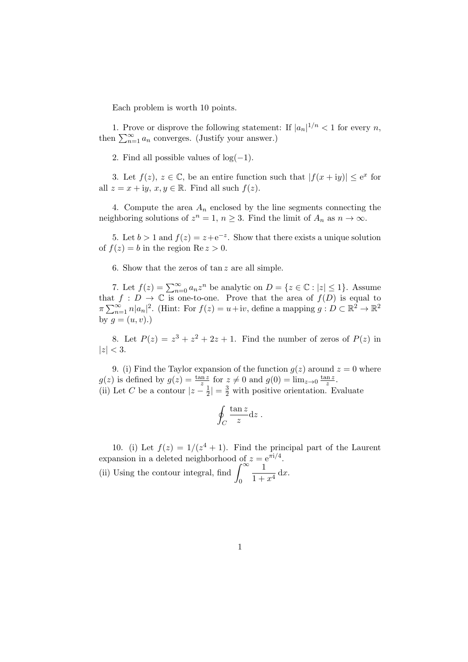Each problem is worth 10 points.

1. Prove or disprove the following statement: If  $|a_n|^{1/n} < 1$  for every n, then  $\sum_{n=1}^{\infty} a_n$  converges. (Justify your answer.)

2. Find all possible values of  $log(-1)$ .

3. Let  $f(z)$ ,  $z \in \mathbb{C}$ , be an entire function such that  $|f(x+iy)| \leq e^x$  for all  $z = x + iy, x, y \in \mathbb{R}$ . Find all such  $f(z)$ .

4. Compute the area  $A_n$  enclosed by the line segments connecting the neighboring solutions of  $z^n = 1$ ,  $n \geq 3$ . Find the limit of  $A_n$  as  $n \to \infty$ .

5. Let  $b > 1$  and  $f(z) = z + e^{-z}$ . Show that there exists a unique solution of  $f(z) = b$  in the region Re  $z > 0$ .

6. Show that the zeros of tan z are all simple.

7. Let  $f(z) = \sum_{n=0}^{\infty} a_n z^n$  be analytic on  $D = \{z \in \mathbb{C} : |z| \leq 1\}$ . Assume that  $f : D \to \mathbb{C}$  is one-to-one. Prove that the area of  $f(D)$  is equal to  $\pi \sum_{n=1}^{\infty} n |a_n|^2$ . (Hint: For  $f(z) = u + iv$ , define a mapping  $g: D \subset \mathbb{R}^2 \to \mathbb{R}^2$ by  $g = (u, v)$ .)

8. Let  $P(z) = z^3 + z^2 + 2z + 1$ . Find the number of zeros of  $P(z)$  in  $|z| < 3$ .

9. (i) Find the Taylor expansion of the function  $g(z)$  around  $z = 0$  where  $g(z)$  is defined by  $g(z) = \frac{\tan z}{z}$  for  $z \neq 0$  and  $g(0) = \lim_{z \to 0} \frac{\tan z}{z}$  $rac{\ln z}{z}$ . (ii) Let C be a contour  $|z-\frac{1}{2}\rangle$  $\frac{1}{2}|=\frac{3}{2}$  with positive orientation. Evaluate

$$
\oint_C \frac{\tan z}{z} \mathrm{d}z \; .
$$

10. (i) Let  $f(z) = 1/(z^4 + 1)$ . Find the principal part of the Laurent expansion in a deleted neighborhood of  $z = e^{\pi i/4}$ . (ii) Using the contour integral, find  $\int_{-\infty}^{\infty}$ 1

0  $\frac{1}{1+x^4} dx.$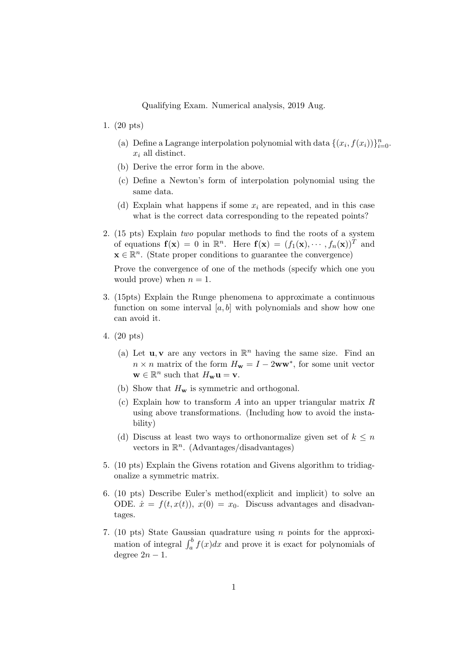Qualifying Exam. Numerical analysis, 2019 Aug.

- 1. (20 pts)
	- (a) Define a Lagrange interpolation polynomial with data  $\{(x_i, f(x_i))\}_{i=0}^n$ .  $x_i$  all distinct.
	- (b) Derive the error form in the above.
	- (c) Define a Newton's form of interpolation polynomial using the same data.
	- (d) Explain what happens if some  $x_i$  are repeated, and in this case what is the correct data corresponding to the repeated points?
- 2. (15 pts) Explain two popular methods to find the roots of a system of equations  $f(x) = 0$  in  $\mathbb{R}^n$ . Here  $f(x) = (f_1(x), \dots, f_n(x))^T$  and  $\mathbf{x} \in \mathbb{R}^n$ . (State proper conditions to guarantee the convergence)

Prove the convergence of one of the methods (specify which one you would prove) when  $n = 1$ .

- 3. (15pts) Explain the Runge phenomena to approximate a continuous function on some interval  $[a, b]$  with polynomials and show how one can avoid it.
- 4. (20 pts)
	- (a) Let **u**, **v** are any vectors in  $\mathbb{R}^n$  having the same size. Find an  $n \times n$  matrix of the form  $H_w = I - 2ww^*$ , for some unit vector  $\mathbf{w} \in \mathbb{R}^n$  such that  $H_{\mathbf{w}} \mathbf{u} = \mathbf{v}$ .
	- (b) Show that  $H_w$  is symmetric and orthogonal.
	- (c) Explain how to transform  $A$  into an upper triangular matrix  $R$ using above transformations. (Including how to avoid the instability)
	- (d) Discuss at least two ways to orthonormalize given set of  $k \leq n$ vectors in  $\mathbb{R}^n$ . (Advantages/disadvantages)
- 5. (10 pts) Explain the Givens rotation and Givens algorithm to tridiagonalize a symmetric matrix.
- 6. (10 pts) Describe Euler's method(explicit and implicit) to solve an ODE.  $\dot{x} = f(t, x(t))$ ,  $x(0) = x_0$ . Discuss advantages and disadvantages.
- 7. (10 pts) State Gaussian quadrature using n points for the approximation of integral  $\int_a^b f(x)dx$  and prove it is exact for polynomials of degree  $2n - 1$ .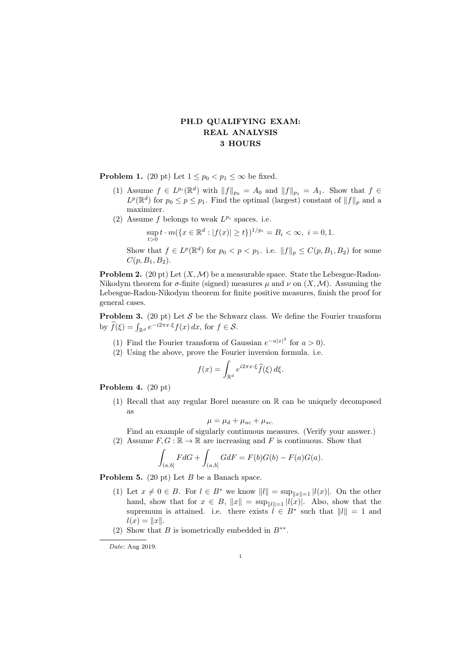# PH.D QUALIFYING EXAM: REAL ANALYSIS 3 HOURS

**Problem 1.** (20 pt) Let  $1 \leq p_0 < p_1 \leq \infty$  be fixed.

- (1) Assume  $f \in L^{p_i}(\mathbb{R}^d)$  with  $||f||_{p_0} = A_0$  and  $||f||_{p_1} = A_1$ . Show that  $f \in L^{p_i}(\mathbb{R}^d)$  $L^p(\mathbb{R}^d)$  for  $p_0 \leq p \leq p_1$ . Find the optimal (largest) constant of  $||f||_p$  and a maximizer.
- (2) Assume f belongs to weak  $L^{p_i}$  spaces. i.e.

$$
\sup_{t>0} t \cdot m(\{x \in \mathbb{R}^d : |f(x)| \ge t\})^{1/p_i} = B_i < \infty, \ i = 0, 1.
$$

Show that  $f \in L^p(\mathbb{R}^d)$  for  $p_0 < p < p_1$ . i.e.  $||f||_p \leq C(p, B_1, B_2)$  for some  $C(p, B_1, B_2)$ .

**Problem 2.** (20 pt) Let  $(X, \mathcal{M})$  be a measurable space. State the Lebesgue-Radon-Nikodym theorem for  $\sigma$ -finite (signed) measures  $\mu$  and  $\nu$  on  $(X, \mathcal{M})$ . Assuming the Lebesgue-Radon-Nikodym theorem for finite positive measures, finish the proof for general cases.

**Problem 3.** (20 pt) Let  $S$  be the Schwarz class. We define the Fourier transform by  $\widehat{f}(\xi) = \int_{\mathbb{R}^d} e^{-i2\pi x \cdot \xi} f(x) dx$ , for  $f \in \mathcal{S}$ .

- (1) Find the Fourier transform of Gaussian  $e^{-a|x|^2}$  for  $a > 0$ ).
- (2) Using the above, prove the Fourier inversion formula. i.e.

$$
f(x) = \int_{\mathbb{R}^d} e^{i2\pi x \cdot \xi} \widehat{f}(\xi) d\xi.
$$

Problem 4. (20 pt)

(1) Recall that any regular Borel measure on R can be uniquely decomposed as

$$
\mu = \mu_d + \mu_{ac} + \mu_{sc.}
$$

Find an example of sigularly continuous measures. (Verify your answer.) (2) Assume  $F, G : \mathbb{R} \to \mathbb{R}$  are increasing and F is continuous. Show that

$$
\int_{(a,b]} F dG + \int_{(a,b]} G dF = F(b)G(b) - F(a)G(a).
$$

**Problem 5.** (20 pt) Let  $B$  be a Banach space.

- (1) Let  $x \neq 0 \in B$ . For  $l \in B^*$  we know  $||l|| = \sup_{||x||=1} |l(x)|$ . On the other hand, show that for  $x \in B$ ,  $||x|| = \sup_{||l||=1} |l(x)|$ . Also, show that the supremum is attained. i.e. there exists  $l \in B^*$  such that  $||l|| = 1$  and  $l(x) = ||x||.$
- (2) Show that B is isometrically embedded in  $B^{**}$ .

Date: Aug 2019.